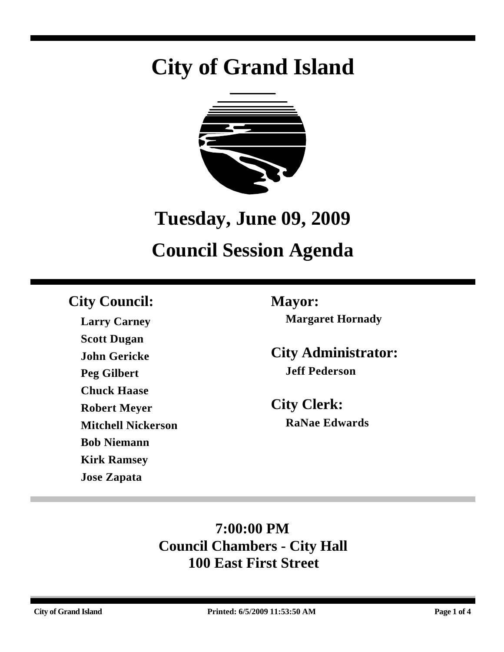# **City of Grand Island**



## **Tuesday, June 09, 2009**

# **Council Session Agenda**

### **City Council: Mayor:**

**Larry Carney Scott Dugan John Gericke Peg Gilbert Chuck Haase Robert Meyer Mitchell Nickerson Bob Niemann Kirk Ramsey Jose Zapata**

**Margaret Hornady**

**City Administrator: Jeff Pederson**

**City Clerk: RaNae Edwards**

### **7:00:00 PM Council Chambers - City Hall 100 East First Street**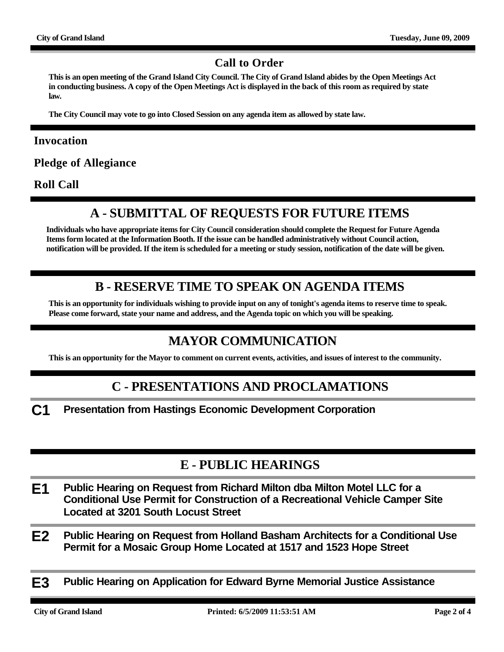#### **Call to Order**

**This is an open meeting of the Grand Island City Council. The City of Grand Island abides by the Open Meetings Act in conducting business. A copy of the Open Meetings Act is displayed in the back of this room as required by state law.**

**The City Council may vote to go into Closed Session on any agenda item as allowed by state law.**

#### **Invocation**

**Pledge of Allegiance**

**Roll Call**

#### **A - SUBMITTAL OF REQUESTS FOR FUTURE ITEMS**

**Individuals who have appropriate items for City Council consideration should complete the Request for Future Agenda Items form located at the Information Booth. If the issue can be handled administratively without Council action, notification will be provided. If the item is scheduled for a meeting or study session, notification of the date will be given.**

#### **B - RESERVE TIME TO SPEAK ON AGENDA ITEMS**

**This is an opportunity for individuals wishing to provide input on any of tonight's agenda items to reserve time to speak. Please come forward, state your name and address, and the Agenda topic on which you will be speaking.**

#### **MAYOR COMMUNICATION**

**This is an opportunity for the Mayor to comment on current events, activities, and issues of interest to the community.**

#### **C - PRESENTATIONS AND PROCLAMATIONS**

**C1 Presentation from Hastings Economic Development Corporation**

#### **E - PUBLIC HEARINGS**

- **E1 Public Hearing on Request from Richard Milton dba Milton Motel LLC for a Conditional Use Permit for Construction of a Recreational Vehicle Camper Site Located at 3201 South Locust Street**
- **E2 Public Hearing on Request from Holland Basham Architects for a Conditional Use Permit for a Mosaic Group Home Located at 1517 and 1523 Hope Street**
- **E3 Public Hearing on Application for Edward Byrne Memorial Justice Assistance**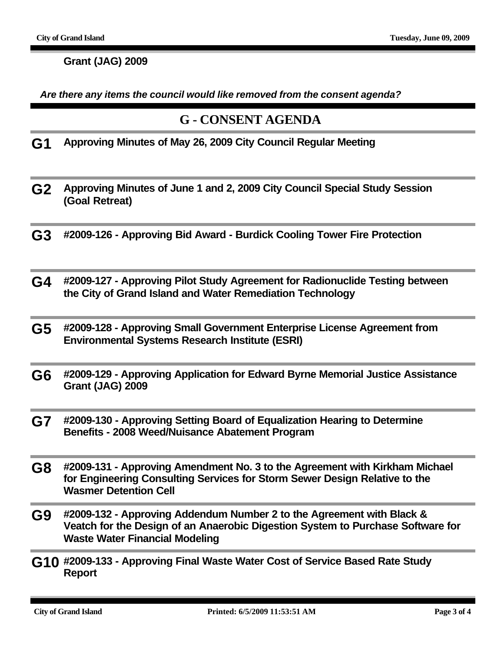**Grant (JAG) 2009**

*Are there any items the council would like removed from the consent agenda?*

#### **G - CONSENT AGENDA**

**G1 Approving Minutes of May 26, 2009 City Council Regular Meeting**

- **G2 Approving Minutes of June 1 and 2, 2009 City Council Special Study Session (Goal Retreat)**
- **G3 #2009-126 Approving Bid Award Burdick Cooling Tower Fire Protection**
- **G4 #2009-127 Approving Pilot Study Agreement for Radionuclide Testing between the City of Grand Island and Water Remediation Technology**
- **G5 #2009-128 Approving Small Government Enterprise License Agreement from Environmental Systems Research Institute (ESRI)**
- **G6 #2009-129 Approving Application for Edward Byrne Memorial Justice Assistance Grant (JAG) 2009**
- **G7 #2009-130 Approving Setting Board of Equalization Hearing to Determine Benefits - 2008 Weed/Nuisance Abatement Program**
- **G8 #2009-131 Approving Amendment No. 3 to the Agreement with Kirkham Michael for Engineering Consulting Services for Storm Sewer Design Relative to the Wasmer Detention Cell**
- **G9 #2009-132 Approving Addendum Number 2 to the Agreement with Black & Veatch for the Design of an Anaerobic Digestion System to Purchase Software for Waste Water Financial Modeling**
- **G10 #2009-133 Approving Final Waste Water Cost of Service Based Rate Study Report**